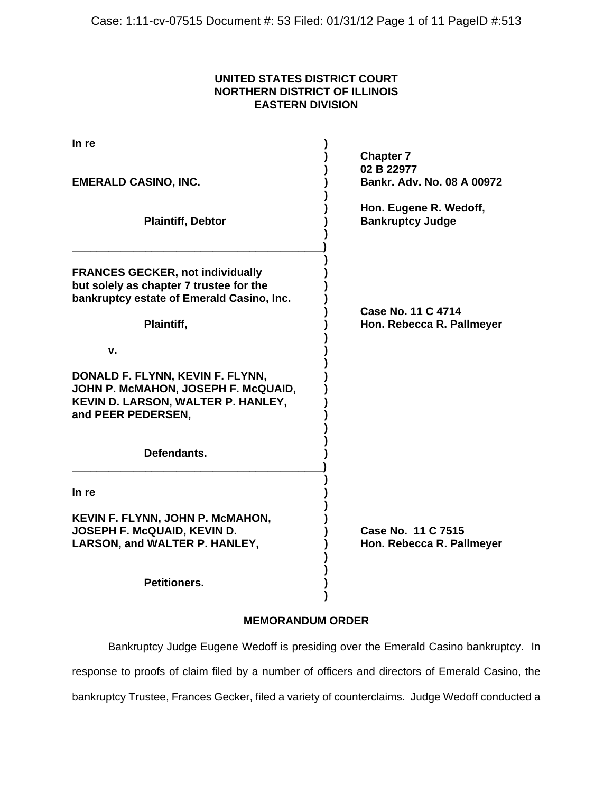# **UNITED STATES DISTRICT COURT NORTHERN DISTRICT OF ILLINOIS EASTERN DIVISION**

| In re                                                                                                                               |                                                   |
|-------------------------------------------------------------------------------------------------------------------------------------|---------------------------------------------------|
|                                                                                                                                     | <b>Chapter 7</b><br>02 B 22977                    |
| <b>EMERALD CASINO, INC.</b>                                                                                                         | Bankr, Adv. No. 08 A 00972                        |
| <b>Plaintiff, Debtor</b>                                                                                                            | Hon. Eugene R. Wedoff,<br><b>Bankruptcy Judge</b> |
| <b>FRANCES GECKER, not individually</b><br>but solely as chapter 7 trustee for the<br>bankruptcy estate of Emerald Casino, Inc.     |                                                   |
| Plaintiff,                                                                                                                          | Case No. 11 C 4714<br>Hon. Rebecca R. Pallmeyer   |
| v.                                                                                                                                  |                                                   |
| DONALD F. FLYNN, KEVIN F. FLYNN,<br>JOHN P. MCMAHON, JOSEPH F. McQUAID,<br>KEVIN D. LARSON, WALTER P. HANLEY,<br>and PEER PEDERSEN, |                                                   |
| Defendants.                                                                                                                         |                                                   |
| In re                                                                                                                               |                                                   |
| KEVIN F. FLYNN, JOHN P. MCMAHON,<br>JOSEPH F. McQUAID, KEVIN D.<br>LARSON, and WALTER P. HANLEY,                                    | Case No. 11 C 7515<br>Hon. Rebecca R. Pallmeyer   |
| <b>Petitioners.</b>                                                                                                                 |                                                   |

# **MEMORANDUM ORDER**

**)**

Bankruptcy Judge Eugene Wedoff is presiding over the Emerald Casino bankruptcy. In response to proofs of claim filed by a number of officers and directors of Emerald Casino, the bankruptcy Trustee, Frances Gecker, filed a variety of counterclaims. Judge Wedoff conducted a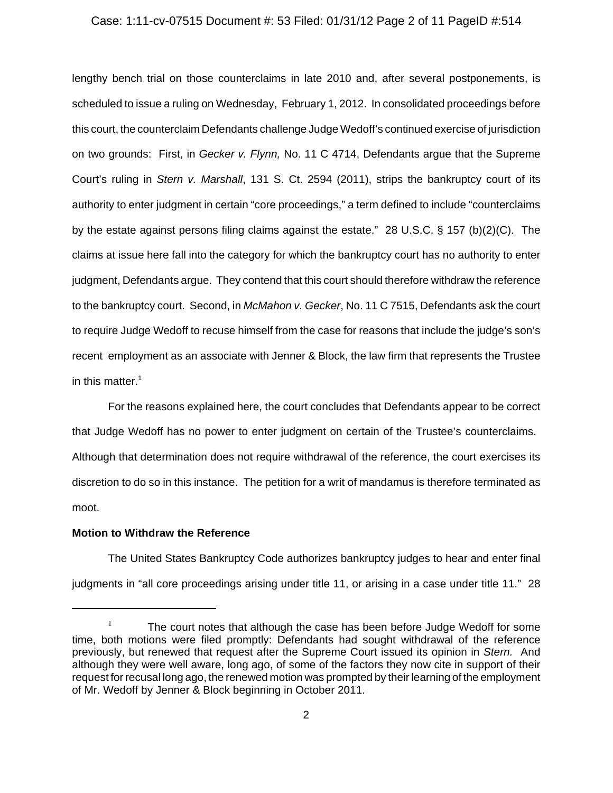### Case: 1:11-cv-07515 Document #: 53 Filed: 01/31/12 Page 2 of 11 PageID #:514

lengthy bench trial on those counterclaims in late 2010 and, after several postponements, is scheduled to issue a ruling on Wednesday, February 1, 2012. In consolidated proceedings before this court, the counterclaim Defendants challenge Judge Wedoff's continued exercise of jurisdiction on two grounds: First, in *Gecker v. Flynn,* No. 11 C 4714, Defendants argue that the Supreme Court's ruling in *Stern v. Marshall*, 131 S. Ct. 2594 (2011), strips the bankruptcy court of its authority to enter judgment in certain "core proceedings," a term defined to include "counterclaims by the estate against persons filing claims against the estate." 28 U.S.C. § 157 (b)(2)(C). The claims at issue here fall into the category for which the bankruptcy court has no authority to enter judgment, Defendants argue. They contend that this court should therefore withdraw the reference to the bankruptcy court. Second, in *McMahon v. Gecker*, No. 11 C 7515, Defendants ask the court to require Judge Wedoff to recuse himself from the case for reasons that include the judge's son's recent employment as an associate with Jenner & Block, the law firm that represents the Trustee in this matter. $1$ 

For the reasons explained here, the court concludes that Defendants appear to be correct that Judge Wedoff has no power to enter judgment on certain of the Trustee's counterclaims. Although that determination does not require withdrawal of the reference, the court exercises its discretion to do so in this instance. The petition for a writ of mandamus is therefore terminated as moot.

# **Motion to Withdraw the Reference**

The United States Bankruptcy Code authorizes bankruptcy judges to hear and enter final judgments in "all core proceedings arising under title 11, or arising in a case under title 11." 28

 $1$  The court notes that although the case has been before Judge Wedoff for some time, both motions were filed promptly: Defendants had sought withdrawal of the reference previously, but renewed that request after the Supreme Court issued its opinion in *Stern.* And although they were well aware, long ago, of some of the factors they now cite in support of their request for recusal long ago, the renewed motion was prompted by their learning of the employment of Mr. Wedoff by Jenner & Block beginning in October 2011.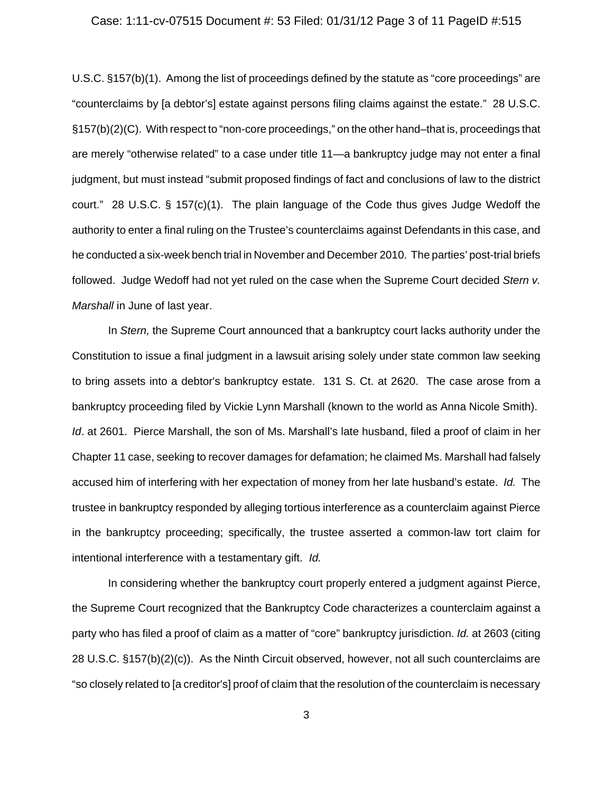#### Case: 1:11-cv-07515 Document #: 53 Filed: 01/31/12 Page 3 of 11 PageID #:515

U.S.C. §157(b)(1). Among the list of proceedings defined by the statute as "core proceedings" are "counterclaims by [a debtor's] estate against persons filing claims against the estate." 28 U.S.C. §157(b)(2)(C). With respect to "non-core proceedings," on the other hand–that is, proceedings that are merely "otherwise related" to a case under title 11—a bankruptcy judge may not enter a final judgment, but must instead "submit proposed findings of fact and conclusions of law to the district court." 28 U.S.C. § 157(c)(1). The plain language of the Code thus gives Judge Wedoff the authority to enter a final ruling on the Trustee's counterclaims against Defendants in this case, and he conducted a six-week bench trial in November and December 2010. The parties' post-trial briefs followed. Judge Wedoff had not yet ruled on the case when the Supreme Court decided *Stern v. Marshall* in June of last year.

In *Stern,* the Supreme Court announced that a bankruptcy court lacks authority under the Constitution to issue a final judgment in a lawsuit arising solely under state common law seeking to bring assets into a debtor's bankruptcy estate. 131 S. Ct. at 2620. The case arose from a bankruptcy proceeding filed by Vickie Lynn Marshall (known to the world as Anna Nicole Smith). *Id.* at 2601. Pierce Marshall, the son of Ms. Marshall's late husband, filed a proof of claim in her Chapter 11 case, seeking to recover damages for defamation; he claimed Ms. Marshall had falsely accused him of interfering with her expectation of money from her late husband's estate. *Id.* The trustee in bankruptcy responded by alleging tortious interference as a counterclaim against Pierce in the bankruptcy proceeding; specifically, the trustee asserted a common-law tort claim for intentional interference with a testamentary gift. *Id.*

In considering whether the bankruptcy court properly entered a judgment against Pierce, the Supreme Court recognized that the Bankruptcy Code characterizes a counterclaim against a party who has filed a proof of claim as a matter of "core" bankruptcy jurisdiction. *Id.* at 2603 (citing 28 U.S.C. §157(b)(2)(c)). As the Ninth Circuit observed, however, not all such counterclaims are "so closely related to [a creditor's] proof of claim that the resolution of the counterclaim is necessary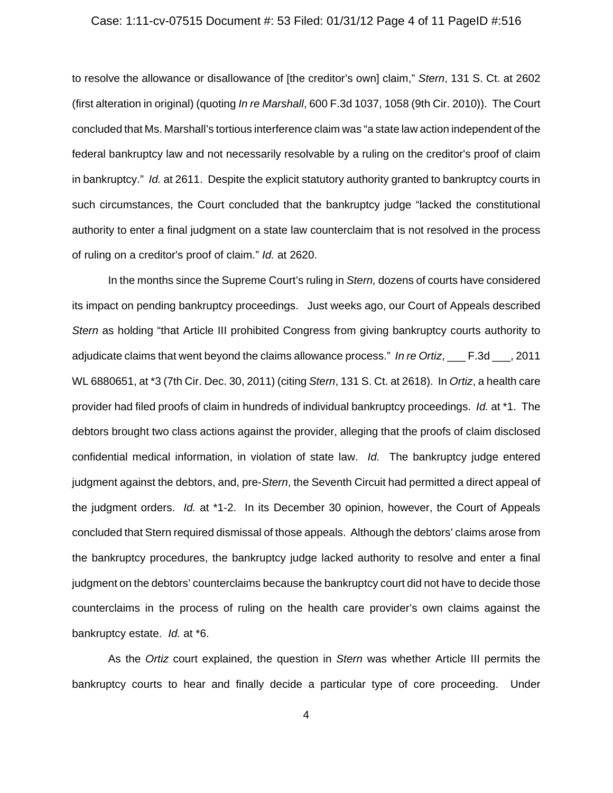#### Case: 1:11-cv-07515 Document #: 53 Filed: 01/31/12 Page 4 of 11 PageID #:516

to resolve the allowance or disallowance of [the creditor's own] claim," *Stern*, 131 S. Ct. at 2602 (first alteration in original) (quoting *In re Marshall*, 600 F.3d 1037, 1058 (9th Cir. 2010)). The Court concluded that Ms. Marshall's tortious interference claim was "a state law action independent of the federal bankruptcy law and not necessarily resolvable by a ruling on the creditor's proof of claim in bankruptcy." *Id.* at 2611. Despite the explicit statutory authority granted to bankruptcy courts in such circumstances, the Court concluded that the bankruptcy judge "lacked the constitutional authority to enter a final judgment on a state law counterclaim that is not resolved in the process of ruling on a creditor's proof of claim." *Id.* at 2620.

In the months since the Supreme Court's ruling in *Stern,* dozens of courts have considered its impact on pending bankruptcy proceedings. Just weeks ago, our Court of Appeals described *Stern* as holding "that Article III prohibited Congress from giving bankruptcy courts authority to adjudicate claims that went beyond the claims allowance process." *In re Ortiz*, \_\_\_ F.3d \_\_\_, 2011 WL 6880651, at \*3 (7th Cir. Dec. 30, 2011) (citing *Stern*, 131 S. Ct. at 2618). In *Ortiz*, a health care provider had filed proofs of claim in hundreds of individual bankruptcy proceedings. *Id.* at \*1. The debtors brought two class actions against the provider, alleging that the proofs of claim disclosed confidential medical information, in violation of state law. *Id.* The bankruptcy judge entered judgment against the debtors, and, pre-*Stern*, the Seventh Circuit had permitted a direct appeal of the judgment orders. *Id.* at \*1-2. In its December 30 opinion, however, the Court of Appeals concluded that Stern required dismissal of those appeals. Although the debtors' claims arose from the bankruptcy procedures, the bankruptcy judge lacked authority to resolve and enter a final judgment on the debtors' counterclaims because the bankruptcy court did not have to decide those counterclaims in the process of ruling on the health care provider's own claims against the bankruptcy estate. *Id.* at \*6.

As the *Ortiz* court explained, the question in *Stern* was whether Article III permits the bankruptcy courts to hear and finally decide a particular type of core proceeding. Under

4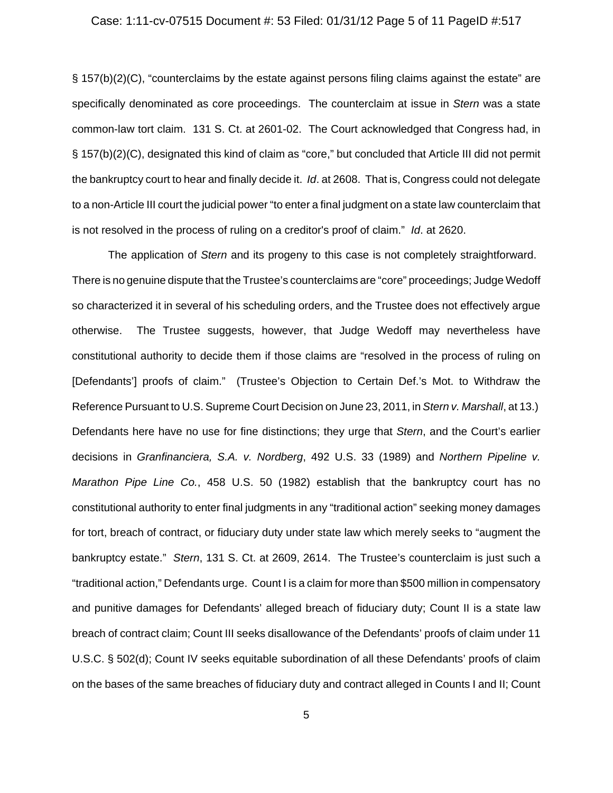#### Case: 1:11-cv-07515 Document #: 53 Filed: 01/31/12 Page 5 of 11 PageID #:517

§ 157(b)(2)(C), "counterclaims by the estate against persons filing claims against the estate" are specifically denominated as core proceedings. The counterclaim at issue in *Stern* was a state common-law tort claim. 131 S. Ct. at 2601-02. The Court acknowledged that Congress had, in § 157(b)(2)(C), designated this kind of claim as "core," but concluded that Article III did not permit the bankruptcy court to hear and finally decide it. *Id*. at 2608. That is, Congress could not delegate to a non-Article III court the judicial power "to enter a final judgment on a state law counterclaim that is not resolved in the process of ruling on a creditor's proof of claim." *Id*. at 2620.

The application of *Stern* and its progeny to this case is not completely straightforward. There is no genuine dispute that the Trustee's counterclaims are "core" proceedings; Judge Wedoff so characterized it in several of his scheduling orders, and the Trustee does not effectively argue otherwise. The Trustee suggests, however, that Judge Wedoff may nevertheless have constitutional authority to decide them if those claims are "resolved in the process of ruling on [Defendants'] proofs of claim." (Trustee's Objection to Certain Def.'s Mot. to Withdraw the Reference Pursuant to U.S. Supreme Court Decision on June 23, 2011, in *Stern v. Marshall*, at 13.) Defendants here have no use for fine distinctions; they urge that *Stern*, and the Court's earlier decisions in *Granfinanciera, S.A. v. Nordberg*, 492 U.S. 33 (1989) and *Northern Pipeline v. Marathon Pipe Line Co.*, 458 U.S. 50 (1982) establish that the bankruptcy court has no constitutional authority to enter final judgments in any "traditional action" seeking money damages for tort, breach of contract, or fiduciary duty under state law which merely seeks to "augment the bankruptcy estate." *Stern*, 131 S. Ct. at 2609, 2614. The Trustee's counterclaim is just such a "traditional action," Defendants urge. Count I is a claim for more than \$500 million in compensatory and punitive damages for Defendants' alleged breach of fiduciary duty; Count II is a state law breach of contract claim; Count III seeks disallowance of the Defendants' proofs of claim under 11 U.S.C. § 502(d); Count IV seeks equitable subordination of all these Defendants' proofs of claim on the bases of the same breaches of fiduciary duty and contract alleged in Counts I and II; Count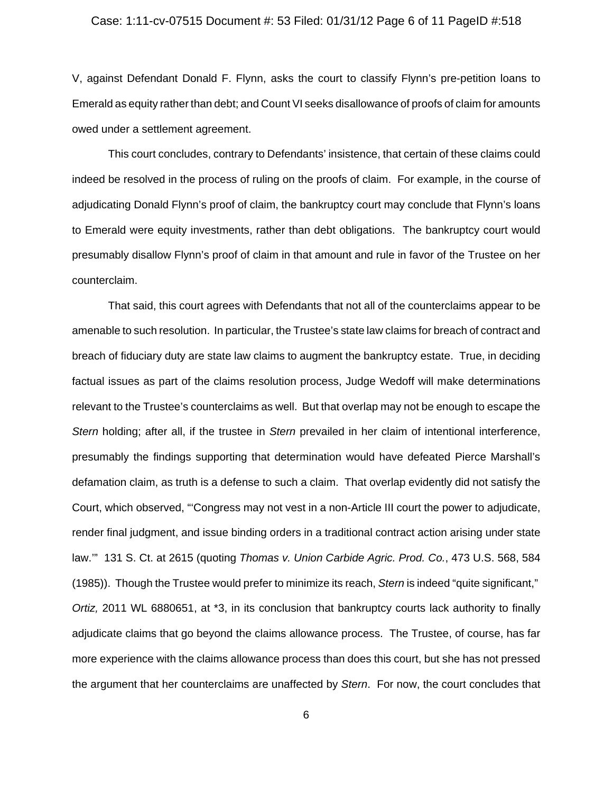#### Case: 1:11-cv-07515 Document #: 53 Filed: 01/31/12 Page 6 of 11 PageID #:518

V, against Defendant Donald F. Flynn, asks the court to classify Flynn's pre-petition loans to Emerald as equity rather than debt; and Count VI seeks disallowance of proofs of claim for amounts owed under a settlement agreement.

This court concludes, contrary to Defendants' insistence, that certain of these claims could indeed be resolved in the process of ruling on the proofs of claim. For example, in the course of adjudicating Donald Flynn's proof of claim, the bankruptcy court may conclude that Flynn's loans to Emerald were equity investments, rather than debt obligations. The bankruptcy court would presumably disallow Flynn's proof of claim in that amount and rule in favor of the Trustee on her counterclaim.

That said, this court agrees with Defendants that not all of the counterclaims appear to be amenable to such resolution. In particular, the Trustee's state law claims for breach of contract and breach of fiduciary duty are state law claims to augment the bankruptcy estate. True, in deciding factual issues as part of the claims resolution process, Judge Wedoff will make determinations relevant to the Trustee's counterclaims as well. But that overlap may not be enough to escape the *Stern* holding; after all, if the trustee in *Stern* prevailed in her claim of intentional interference, presumably the findings supporting that determination would have defeated Pierce Marshall's defamation claim, as truth is a defense to such a claim. That overlap evidently did not satisfy the Court, which observed, "'Congress may not vest in a non-Article III court the power to adjudicate, render final judgment, and issue binding orders in a traditional contract action arising under state law.'" 131 S. Ct. at 2615 (quoting *Thomas v. Union Carbide Agric. Prod. Co.*, 473 U.S. 568, 584 (1985)). Though the Trustee would prefer to minimize its reach, *Stern* is indeed "quite significant," *Ortiz,* 2011 WL 6880651, at \*3, in its conclusion that bankruptcy courts lack authority to finally adjudicate claims that go beyond the claims allowance process. The Trustee, of course, has far more experience with the claims allowance process than does this court, but she has not pressed the argument that her counterclaims are unaffected by *Stern*. For now, the court concludes that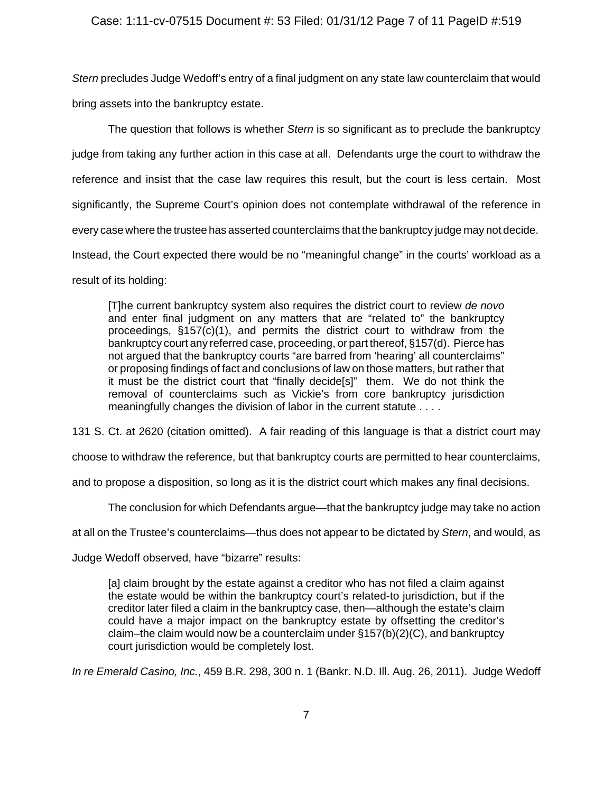*Stern* precludes Judge Wedoff's entry of a final judgment on any state law counterclaim that would bring assets into the bankruptcy estate.

The question that follows is whether *Stern* is so significant as to preclude the bankruptcy judge from taking any further action in this case at all. Defendants urge the court to withdraw the reference and insist that the case law requires this result, but the court is less certain. Most significantly, the Supreme Court's opinion does not contemplate withdrawal of the reference in every case where the trustee has asserted counterclaims that the bankruptcy judge may not decide. Instead, the Court expected there would be no "meaningful change" in the courts' workload as a result of its holding:

[T]he current bankruptcy system also requires the district court to review *de novo* and enter final judgment on any matters that are "related to" the bankruptcy proceedings, §157(c)(1), and permits the district court to withdraw from the bankruptcy court any referred case, proceeding, or part thereof, §157(d). Pierce has not argued that the bankruptcy courts "are barred from 'hearing' all counterclaims" or proposing findings of fact and conclusions of law on those matters, but rather that it must be the district court that "finally decide[s]" them. We do not think the removal of counterclaims such as Vickie's from core bankruptcy jurisdiction meaningfully changes the division of labor in the current statute . . . .

131 S. Ct. at 2620 (citation omitted). A fair reading of this language is that a district court may

choose to withdraw the reference, but that bankruptcy courts are permitted to hear counterclaims,

and to propose a disposition, so long as it is the district court which makes any final decisions.

The conclusion for which Defendants argue—that the bankruptcy judge may take no action

at all on the Trustee's counterclaims—thus does not appear to be dictated by *Stern*, and would, as

Judge Wedoff observed, have "bizarre" results:

[a] claim brought by the estate against a creditor who has not filed a claim against the estate would be within the bankruptcy court's related-to jurisdiction, but if the creditor later filed a claim in the bankruptcy case, then—although the estate's claim could have a major impact on the bankruptcy estate by offsetting the creditor's claim–the claim would now be a counterclaim under §157(b)(2)(C), and bankruptcy court jurisdiction would be completely lost.

*In re Emerald Casino, Inc.*, 459 B.R. 298, 300 n. 1 (Bankr. N.D. Ill. Aug. 26, 2011). Judge Wedoff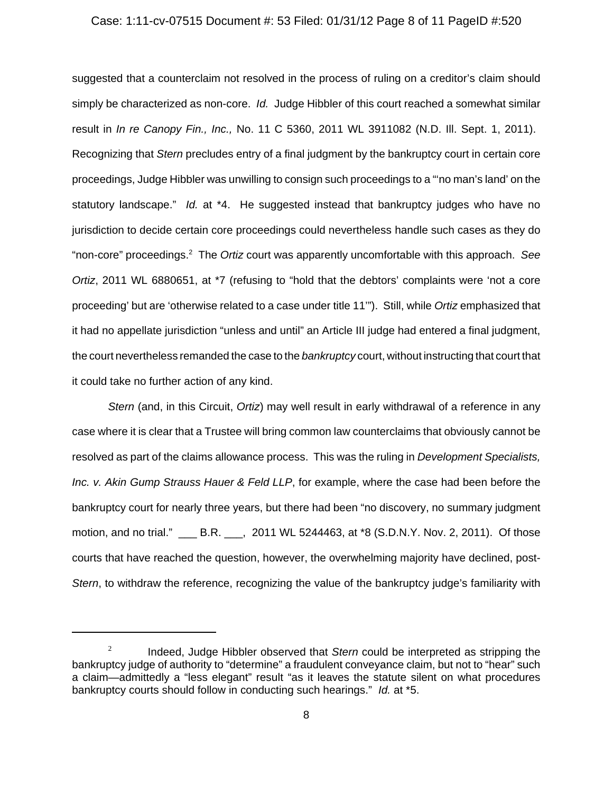### Case: 1:11-cv-07515 Document #: 53 Filed: 01/31/12 Page 8 of 11 PageID #:520

suggested that a counterclaim not resolved in the process of ruling on a creditor's claim should simply be characterized as non-core. *Id.* Judge Hibbler of this court reached a somewhat similar result in *In re Canopy Fin., Inc.,* No. 11 C 5360, 2011 WL 3911082 (N.D. Ill. Sept. 1, 2011). Recognizing that *Stern* precludes entry of a final judgment by the bankruptcy court in certain core proceedings, Judge Hibbler was unwilling to consign such proceedings to a "'no man's land' on the statutory landscape." *Id.* at \*4. He suggested instead that bankruptcy judges who have no jurisdiction to decide certain core proceedings could nevertheless handle such cases as they do "non-core" proceedings.2 The *Ortiz* court was apparently uncomfortable with this approach. *See Ortiz*, 2011 WL 6880651, at \*7 (refusing to "hold that the debtors' complaints were 'not a core proceeding' but are 'otherwise related to a case under title 11'"). Still, while *Ortiz* emphasized that it had no appellate jurisdiction "unless and until" an Article III judge had entered a final judgment, the court nevertheless remanded the case to the *bankruptcy* court, without instructing that court that it could take no further action of any kind.

*Stern* (and, in this Circuit, *Ortiz*) may well result in early withdrawal of a reference in any case where it is clear that a Trustee will bring common law counterclaims that obviously cannot be resolved as part of the claims allowance process. This was the ruling in *Development Specialists, Inc. v. Akin Gump Strauss Hauer & Feld LLP*, for example, where the case had been before the bankruptcy court for nearly three years, but there had been "no discovery, no summary judgment motion, and no trial." \_\_\_ B.R. \_\_\_, 2011 WL 5244463, at \*8 (S.D.N.Y. Nov. 2, 2011). Of those courts that have reached the question, however, the overwhelming majority have declined, post-*Stern*, to withdraw the reference, recognizing the value of the bankruptcy judge's familiarity with

<sup>2</sup> Indeed, Judge Hibbler observed that *Stern* could be interpreted as stripping the bankruptcy judge of authority to "determine" a fraudulent conveyance claim, but not to "hear" such a claim—admittedly a "less elegant" result "as it leaves the statute silent on what procedures bankruptcy courts should follow in conducting such hearings." *Id.* at \*5.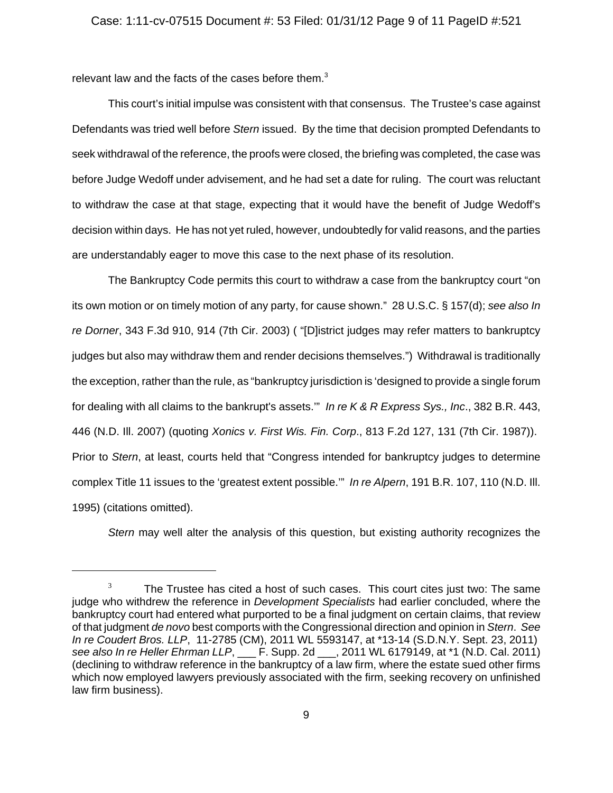### Case: 1:11-cv-07515 Document #: 53 Filed: 01/31/12 Page 9 of 11 PageID #:521

relevant law and the facts of the cases before them.<sup>3</sup>

This court's initial impulse was consistent with that consensus. The Trustee's case against Defendants was tried well before *Stern* issued. By the time that decision prompted Defendants to seek withdrawal of the reference, the proofs were closed, the briefing was completed, the case was before Judge Wedoff under advisement, and he had set a date for ruling. The court was reluctant to withdraw the case at that stage, expecting that it would have the benefit of Judge Wedoff's decision within days. He has not yet ruled, however, undoubtedly for valid reasons, and the parties are understandably eager to move this case to the next phase of its resolution.

The Bankruptcy Code permits this court to withdraw a case from the bankruptcy court "on its own motion or on timely motion of any party, for cause shown." 28 U.S.C. § 157(d); *see also In re Dorner*, 343 F.3d 910, 914 (7th Cir. 2003) ( "[D]istrict judges may refer matters to bankruptcy judges but also may withdraw them and render decisions themselves.") Withdrawal is traditionally the exception, rather than the rule, as "bankruptcy jurisdiction is 'designed to provide a single forum for dealing with all claims to the bankrupt's assets.'" *In re K & R Express Sys., Inc*., 382 B.R. 443, 446 (N.D. Ill. 2007) (quoting *Xonics v. First Wis. Fin. Corp*., 813 F.2d 127, 131 (7th Cir. 1987)). Prior to *Stern*, at least, courts held that "Congress intended for bankruptcy judges to determine complex Title 11 issues to the 'greatest extent possible.'" *In re Alpern*, 191 B.R. 107, 110 (N.D. Ill. 1995) (citations omitted).

*Stern* may well alter the analysis of this question, but existing authority recognizes the

 $3$  The Trustee has cited a host of such cases. This court cites just two: The same judge who withdrew the reference in *Development Specialists* had earlier concluded, where the bankruptcy court had entered what purported to be a final judgment on certain claims, that review of that judgment *de novo* best comports with the Congressional direction and opinion in *Stern*. *See In re Coudert Bros. LLP*, 11-2785 (CM), 2011 WL 5593147, at \*13-14 (S.D.N.Y. Sept. 23, 2011) *see also In re Heller Ehrman LLP*, \_\_\_ F. Supp. 2d \_\_\_, 2011 WL 6179149, at \*1 (N.D. Cal. 2011) (declining to withdraw reference in the bankruptcy of a law firm, where the estate sued other firms which now employed lawyers previously associated with the firm, seeking recovery on unfinished law firm business).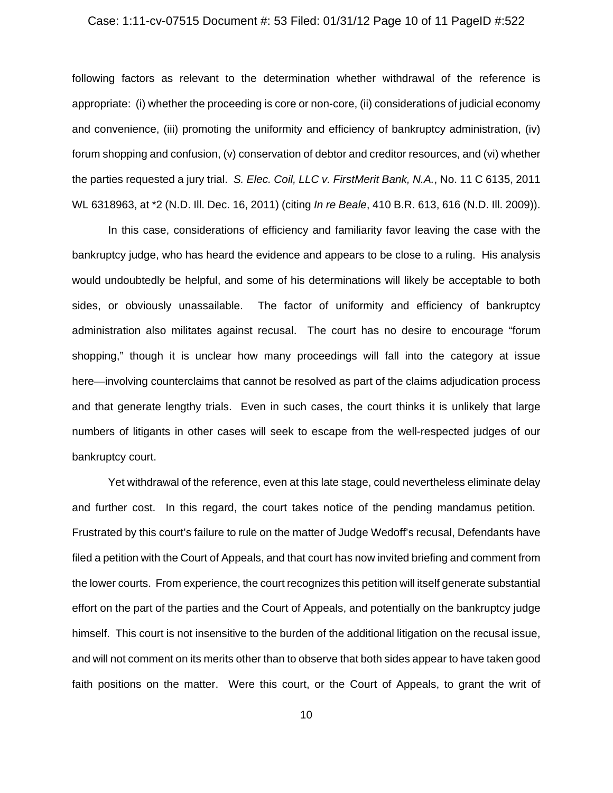### Case: 1:11-cv-07515 Document #: 53 Filed: 01/31/12 Page 10 of 11 PageID #:522

following factors as relevant to the determination whether withdrawal of the reference is appropriate: (i) whether the proceeding is core or non-core, (ii) considerations of judicial economy and convenience, (iii) promoting the uniformity and efficiency of bankruptcy administration, (iv) forum shopping and confusion, (v) conservation of debtor and creditor resources, and (vi) whether the parties requested a jury trial. *S. Elec. Coil, LLC v. FirstMerit Bank, N.A.*, No. 11 C 6135, 2011 WL 6318963, at \*2 (N.D. Ill. Dec. 16, 2011) (citing *In re Beale*, 410 B.R. 613, 616 (N.D. Ill. 2009)).

In this case, considerations of efficiency and familiarity favor leaving the case with the bankruptcy judge, who has heard the evidence and appears to be close to a ruling. His analysis would undoubtedly be helpful, and some of his determinations will likely be acceptable to both sides, or obviously unassailable. The factor of uniformity and efficiency of bankruptcy administration also militates against recusal. The court has no desire to encourage "forum shopping," though it is unclear how many proceedings will fall into the category at issue here—involving counterclaims that cannot be resolved as part of the claims adjudication process and that generate lengthy trials. Even in such cases, the court thinks it is unlikely that large numbers of litigants in other cases will seek to escape from the well-respected judges of our bankruptcy court.

Yet withdrawal of the reference, even at this late stage, could nevertheless eliminate delay and further cost. In this regard, the court takes notice of the pending mandamus petition. Frustrated by this court's failure to rule on the matter of Judge Wedoff's recusal, Defendants have filed a petition with the Court of Appeals, and that court has now invited briefing and comment from the lower courts. From experience, the court recognizes this petition will itself generate substantial effort on the part of the parties and the Court of Appeals, and potentially on the bankruptcy judge himself. This court is not insensitive to the burden of the additional litigation on the recusal issue, and will not comment on its merits other than to observe that both sides appear to have taken good faith positions on the matter. Were this court, or the Court of Appeals, to grant the writ of